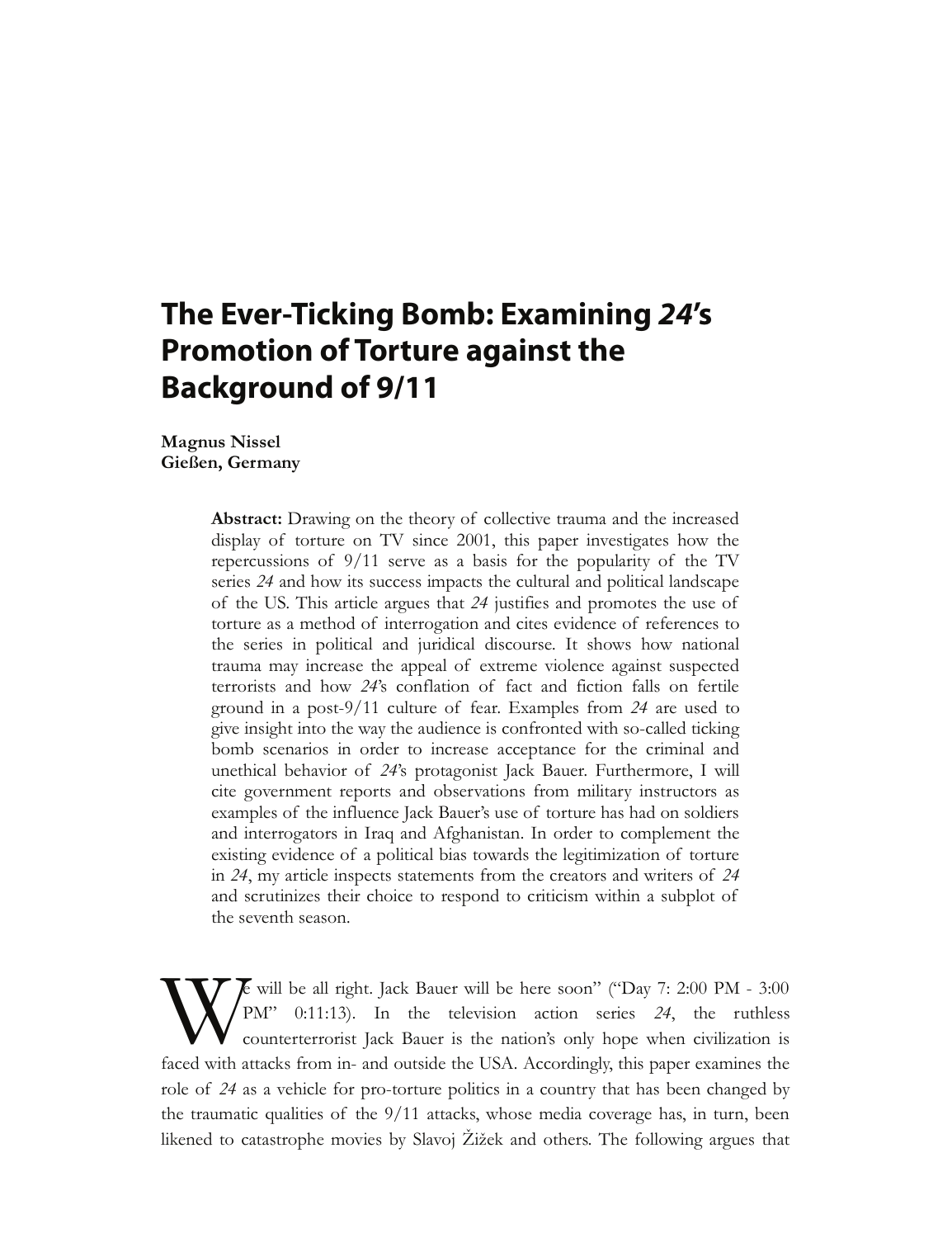**Magnus Nissel** Gießen, Germany

> Abstract: Drawing on the theory of collective trauma and the increased display of torture on TV since 2001, this paper investigates how the repercussions of 9/11 serve as a basis for the popularity of the TV series 24 and how its success impacts the cultural and political landscape of the US. This article argues that 24 justifies and promotes the use of torture as a method of interrogation and cites evidence of references to the series in political and juridical discourse. It shows how national trauma may increase the appeal of extreme violence against suspected terrorists and how 24's conflation of fact and fiction falls on fertile ground in a post-9/11 culture of fear. Examples from 24 are used to give insight into the way the audience is confronted with so-called ticking bomb scenarios in order to increase acceptance for the criminal and unethical behavior of 24's protagonist Jack Bauer. Furthermore, I will cite government reports and observations from military instructors as examples of the influence Jack Bauer's use of torture has had on soldiers and interrogators in Iraq and Afghanistan. In order to complement the existing evidence of a political bias towards the legitimization of torture in 24, my article inspects statements from the creators and writers of  $24$ and scrutinizes their choice to respond to criticism within a subplot of the seventh season.

 $\epsilon$  will be all right. Jack Bauer will be here soon" ("Day 7: 2:00 PM - 3:00 PM" 0:11:13). In the television action series 24, the ruthless counterterrorist Jack Bauer is the nation's only hope when civilization is We will be all right. Jack Bauer will be here soon" ("Day 7: 2:00 PM - 3:00<br>
PM" 0:11:13). In the television action series 24, the ruthless<br>
counterterrorist Jack Bauer is the nation's only hope when civilization is<br>
faced role of 24 as a vehicle for pro-torture politics in a country that has been changed by the traumatic qualities of the 9/11 attacks, whose media coverage has, in turn, been likened to catastrophe movies by Slavoj Žižek and others. The following argues that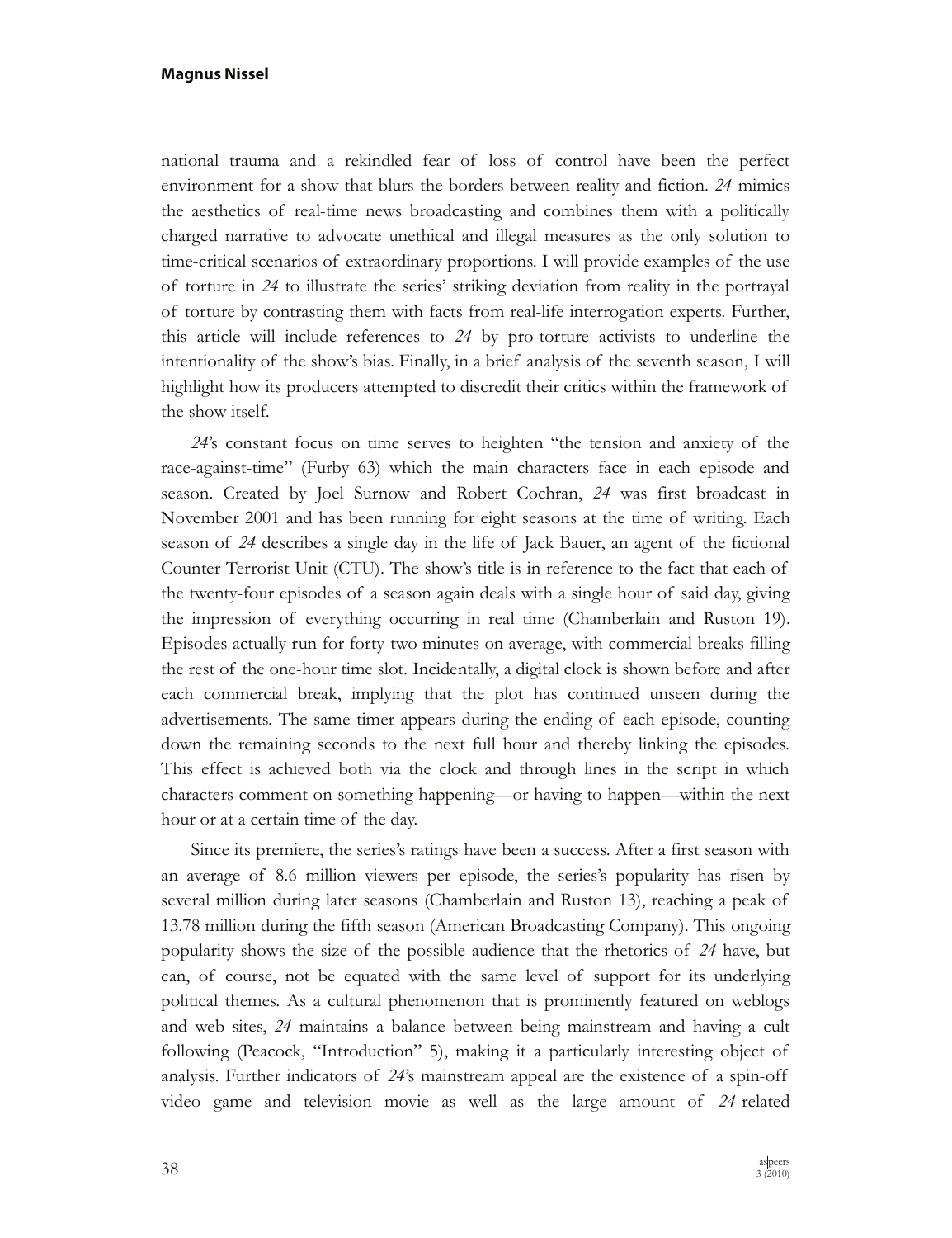national trauma and a rekindled fear of loss of control have been the perfect environment for a show that blurs the borders between reality and fiction. 24 mimics the aesthetics of real-time news broadcasting and combines them with a politically charged narrative to advocate unethical and illegal measures as the only solution to time-critical scenarios of extraordinary proportions. I will provide examples of the use of torture in 24 to illustrate the series' striking deviation from reality in the portrayal of torture by contrasting them with facts from real-life interrogation experts. Further, this article will include references to  $24$  by pro-torture activists to underline the intentionality of the show's bias. Finally, in a brief analysis of the seventh season, I will highlight how its producers attempted to discredit their critics within the framework of the show itself.

24's constant focus on time serves to heighten "the tension and anxiety of the race-against-time" (Furby 63) which the main characters face in each episode and season. Created by Joel Surnow and Robert Cochran, 24 was first broadcast in November 2001 and has been running for eight seasons at the time of writing. Each season of 24 describes a single day in the life of Jack Bauer, an agent of the fictional Counter Terrorist Unit (CTU). The show's title is in reference to the fact that each of the twenty-four episodes of a season again deals with a single hour of said day, giving the impression of everything occurring in real time (Chamberlain and Ruston 19). Episodes actually run for forty-two minutes on average, with commercial breaks filling the rest of the one-hour time slot. Incidentally, a digital clock is shown before and after each commercial break, implying that the plot has continued unseen during the advertisements. The same timer appears during the ending of each episode, counting down the remaining seconds to the next full hour and thereby linking the episodes. This effect is achieved both via the clock and through lines in the script in which characters comment on something happening—or having to happen—within the next hour or at a certain time of the day.

Since its premiere, the series's ratings have been a success. After a first season with an average of 8.6 million viewers per episode, the series's popularity has risen by several million during later seasons (Chamberlain and Ruston 13), reaching a peak of 13.78 million during the fifth season (American Broadcasting Company). This ongoing popularity shows the size of the possible audience that the rhetorics of 24 have, but can, of course, not be equated with the same level of support for its underlying political themes. As a cultural phenomenon that is prominently featured on weblogs and web sites, 24 maintains a balance between being mainstream and having a cult following (Peacock, "Introduction" 5), making it a particularly interesting object of analysis. Further indicators of 24's mainstream appeal are the existence of a spin-off video game and television movie as well as the large amount of 24-related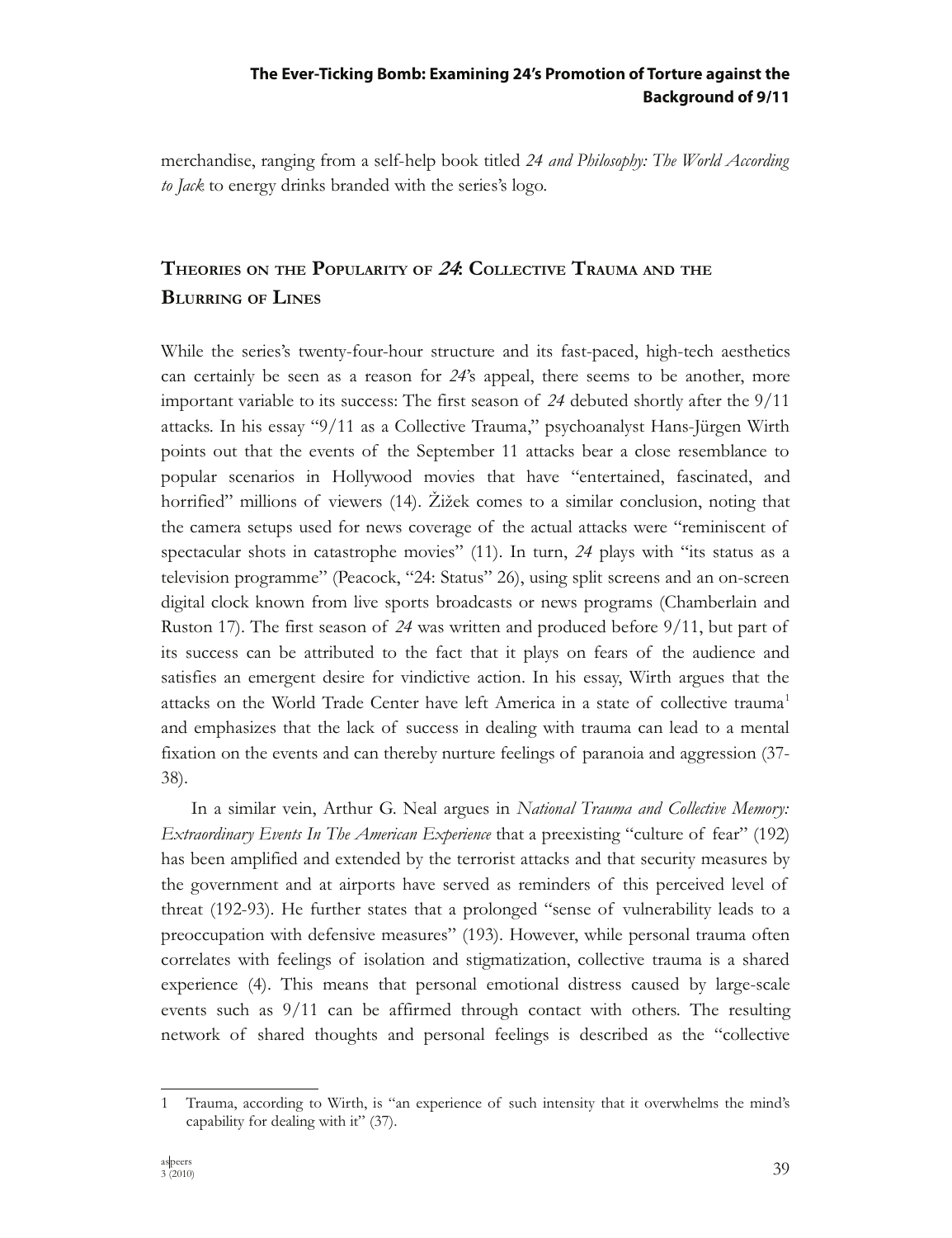merchandise, ranging from a self-help book titled 24 and Philosophy: The World According to Jack to energy drinks branded with the series's logo.

# THEORIES ON THE POPULARITY OF 24: COLLECTIVE TRAUMA AND THE **BLURRING OF LINES**

While the series's twenty-four-hour structure and its fast-paced, high-tech aesthetics can certainly be seen as a reason for  $24$ 's appeal, there seems to be another, more important variable to its success: The first season of 24 debuted shortly after the  $9/11$ attacks. In his essay "9/11 as a Collective Trauma," psychoanalyst Hans-Jürgen Wirth points out that the events of the September 11 attacks bear a close resemblance to popular scenarios in Hollywood movies that have "entertained, fascinated, and horrified" millions of viewers (14). Žižek comes to a similar conclusion, noting that the camera setups used for news coverage of the actual attacks were "reminiscent of spectacular shots in catastrophe movies" (11). In turn, 24 plays with "its status as a television programme" (Peacock, "24: Status" 26), using split screens and an on-screen digital clock known from live sports broadcasts or news programs (Chamberlain and Ruston 17). The first season of 24 was written and produced before  $9/11$ , but part of its success can be attributed to the fact that it plays on fears of the audience and satisfies an emergent desire for vindictive action. In his essay, Wirth argues that the attacks on the World Trade Center have left America in a state of collective trauma<sup>1</sup> and emphasizes that the lack of success in dealing with trauma can lead to a mental fixation on the events and can thereby nurture feelings of paranoia and aggression (37-38).

In a similar vein, Arthur G. Neal argues in National Trauma and Collective Memory: Extraordinary Events In The American Experience that a preexisting "culture of fear" (192) has been amplified and extended by the terrorist attacks and that security measures by the government and at airports have served as reminders of this perceived level of threat (192-93). He further states that a prolonged "sense of vulnerability leads to a preoccupation with defensive measures" (193). However, while personal trauma often correlates with feelings of isolation and stigmatization, collective trauma is a shared experience (4). This means that personal emotional distress caused by large-scale events such as  $9/11$  can be affirmed through contact with others. The resulting network of shared thoughts and personal feelings is described as the "collective

Trauma, according to Wirth, is "an experience of such intensity that it overwhelms the mind's 1 capability for dealing with it" (37).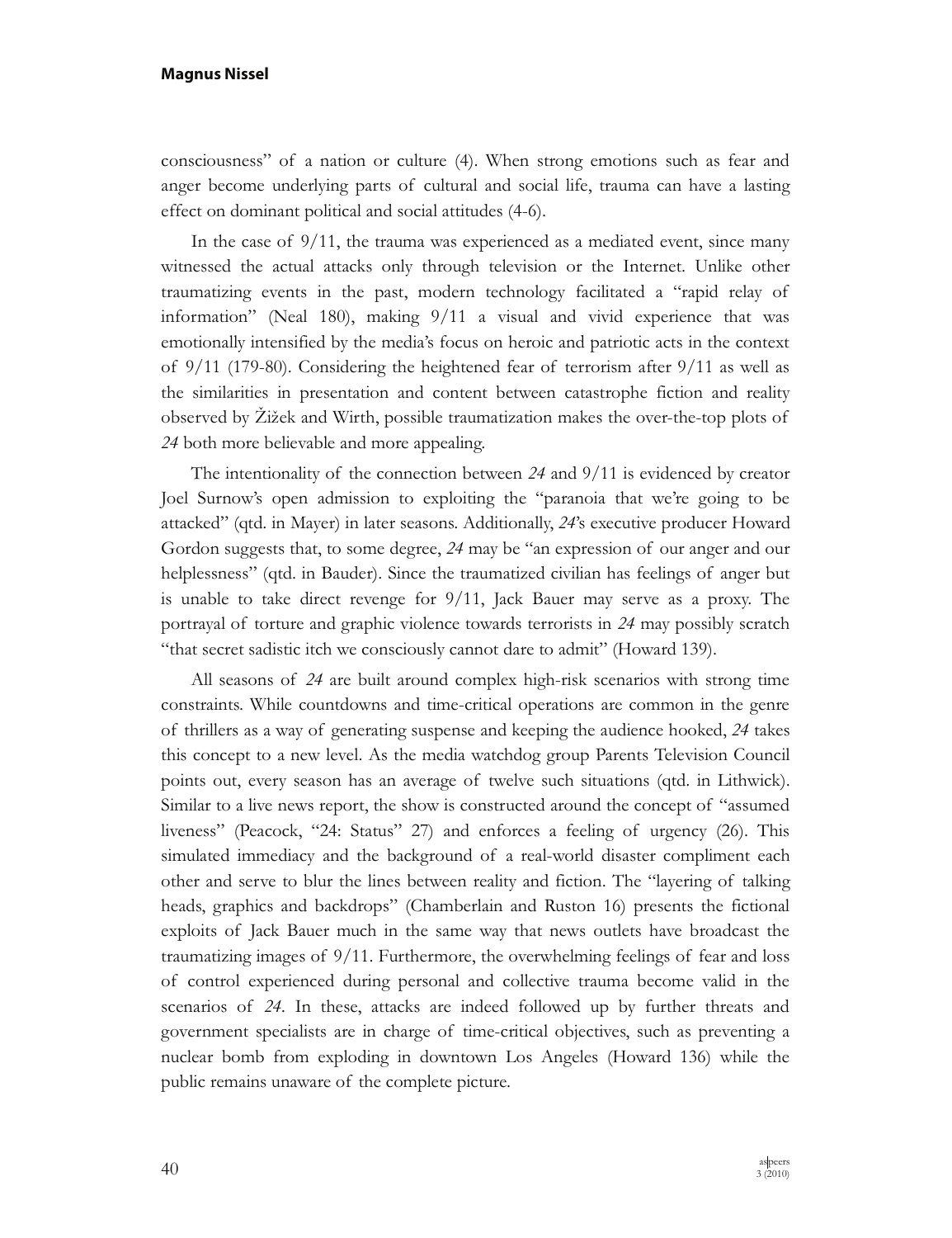consciousness" of a nation or culture (4). When strong emotions such as fear and anger become underlying parts of cultural and social life, trauma can have a lasting effect on dominant political and social attitudes (4-6).

In the case of 9/11, the trauma was experienced as a mediated event, since many witnessed the actual attacks only through television or the Internet. Unlike other traumatizing events in the past, modern technology facilitated a "rapid relay of information" (Neal 180), making 9/11 a visual and vivid experience that was emotionally intensified by the media's focus on heroic and patriotic acts in the context of  $9/11$  (179-80). Considering the heightened fear of terrorism after  $9/11$  as well as the similarities in presentation and content between catastrophe fiction and reality observed by Žižek and Wirth, possible traumatization makes the over-the-top plots of 24 both more believable and more appealing.

The intentionality of the connection between 24 and  $9/11$  is evidenced by creator Joel Surnow's open admission to exploiting the "paranoia that we're going to be attacked" (qtd. in Mayer) in later seasons. Additionally, 24's executive producer Howard Gordon suggests that, to some degree, 24 may be "an expression of our anger and our helplessness" (qtd. in Bauder). Since the traumatized civilian has feelings of anger but is unable to take direct revenge for  $9/11$ , Jack Bauer may serve as a proxy. The portrayal of torture and graphic violence towards terrorists in 24 may possibly scratch "that secret sadistic itch we consciously cannot dare to admit" (Howard 139).

All seasons of 24 are built around complex high-risk scenarios with strong time constraints. While countdowns and time-critical operations are common in the genre of thrillers as a way of generating suspense and keeping the audience hooked, 24 takes this concept to a new level. As the media watchdog group Parents Television Council points out, every season has an average of twelve such situations (qtd. in Lithwick). Similar to a live news report, the show is constructed around the concept of "assumed" liveness" (Peacock, "24: Status" 27) and enforces a feeling of urgency (26). This simulated immediacy and the background of a real-world disaster compliment each other and serve to blur the lines between reality and fiction. The "layering of talking heads, graphics and backdrops" (Chamberlain and Ruston 16) presents the fictional exploits of Jack Bauer much in the same way that news outlets have broadcast the traumatizing images of 9/11. Furthermore, the overwhelming feelings of fear and loss of control experienced during personal and collective trauma become valid in the scenarios of 24. In these, attacks are indeed followed up by further threats and government specialists are in charge of time-critical objectives, such as preventing a nuclear bomb from exploding in downtown Los Angeles (Howard 136) while the public remains unaware of the complete picture.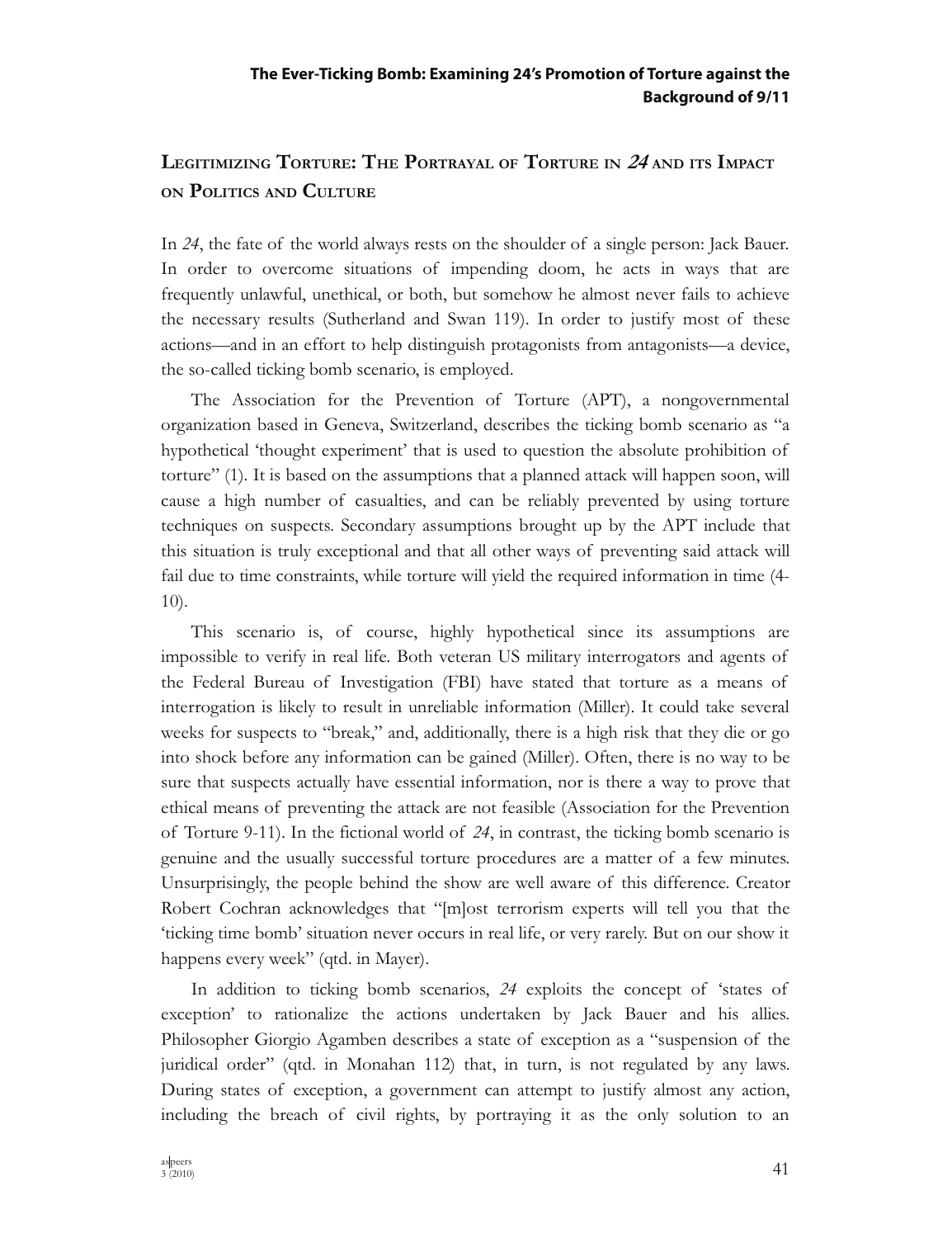# LEGITIMIZING TORTURE: THE PORTRAYAL OF TORTURE IN 24 AND ITS IMPACT ON POLITICS AND CULTURE

In 24, the fate of the world always rests on the shoulder of a single person: Jack Bauer. In order to overcome situations of impending doom, he acts in ways that are frequently unlawful, unethical, or both, but somehow he almost never fails to achieve the necessary results (Sutherland and Swan 119). In order to justify most of these actions—and in an effort to help distinguish protagonists from antagonists—a device, the so-called ticking bomb scenario, is employed.

The Association for the Prevention of Torture (APT), a nongovernmental organization based in Geneva, Switzerland, describes the ticking bomb scenario as "a hypothetical 'thought experiment' that is used to question the absolute prohibition of torture" (1). It is based on the assumptions that a planned attack will happen soon, will cause a high number of casualties, and can be reliably prevented by using torture techniques on suspects. Secondary assumptions brought up by the APT include that this situation is truly exceptional and that all other ways of preventing said attack will fail due to time constraints, while torture will yield the required information in time (4- $(10)$ .

This scenario is, of course, highly hypothetical since its assumptions are impossible to verify in real life. Both veteran US military interrogators and agents of the Federal Bureau of Investigation (FBI) have stated that torture as a means of interrogation is likely to result in unreliable information (Miller). It could take several weeks for suspects to "break," and, additionally, there is a high risk that they die or go into shock before any information can be gained (Miller). Often, there is no way to be sure that suspects actually have essential information, nor is there a way to prove that ethical means of preventing the attack are not feasible (Association for the Prevention of Torture 9-11). In the fictional world of  $24$ , in contrast, the ticking bomb scenario is genuine and the usually successful torture procedures are a matter of a few minutes. Unsurprisingly, the people behind the show are well aware of this difference. Creator Robert Cochran acknowledges that "[m]ost terrorism experts will tell you that the 'ticking time bomb' situation never occurs in real life, or very rarely. But on our show it happens every week" (qtd. in Mayer).

In addition to ticking bomb scenarios, 24 exploits the concept of 'states of exception' to rationalize the actions undertaken by Jack Bauer and his allies. Philosopher Giorgio Agamben describes a state of exception as a "suspension of the juridical order" (qtd. in Monahan 112) that, in turn, is not regulated by any laws. During states of exception, a government can attempt to justify almost any action, including the breach of civil rights, by portraying it as the only solution to an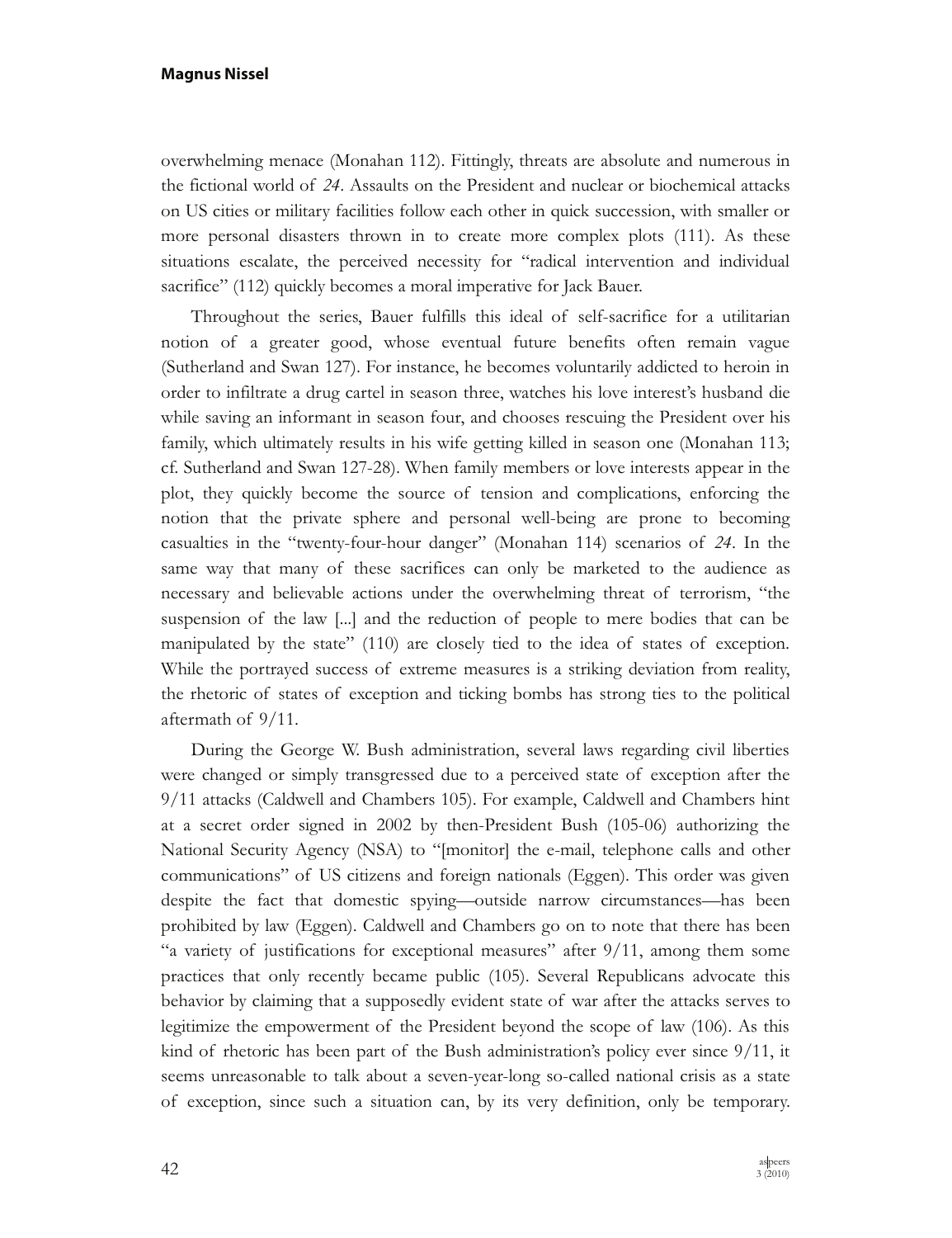overwhelming menace (Monahan 112). Fittingly, threats are absolute and numerous in the fictional world of 24. Assaults on the President and nuclear or biochemical attacks on US cities or military facilities follow each other in quick succession, with smaller or more personal disasters thrown in to create more complex plots (111). As these situations escalate, the perceived necessity for "radical intervention and individual sacrifice" (112) quickly becomes a moral imperative for Jack Bauer.

Throughout the series, Bauer fulfills this ideal of self-sacrifice for a utilitarian notion of a greater good, whose eventual future benefits often remain vague (Sutherland and Swan 127). For instance, he becomes voluntarily addicted to heroin in order to infiltrate a drug cartel in season three, watches his love interest's husband die while saving an informant in season four, and chooses rescuing the President over his family, which ultimately results in his wife getting killed in season one (Monahan 113; cf. Sutherland and Swan 127-28). When family members or love interests appear in the plot, they quickly become the source of tension and complications, enforcing the notion that the private sphere and personal well-being are prone to becoming casualties in the "twenty-four-hour danger" (Monahan 114) scenarios of 24. In the same way that many of these sacrifices can only be marketed to the audience as necessary and believable actions under the overwhelming threat of terrorism, "the suspension of the law [...] and the reduction of people to mere bodies that can be manipulated by the state" (110) are closely tied to the idea of states of exception. While the portrayed success of extreme measures is a striking deviation from reality, the rhetoric of states of exception and ticking bombs has strong ties to the political aftermath of 9/11.

During the George W. Bush administration, several laws regarding civil liberties were changed or simply transgressed due to a perceived state of exception after the 9/11 attacks (Caldwell and Chambers 105). For example, Caldwell and Chambers hint at a secret order signed in 2002 by then-President Bush (105-06) authorizing the National Security Agency (NSA) to "[monitor] the e-mail, telephone calls and other communications" of US citizens and foreign nationals (Eggen). This order was given despite the fact that domestic spying-outside narrow circumstances-has been prohibited by law (Eggen). Caldwell and Chambers go on to note that there has been "a variety of justifications for exceptional measures" after  $9/11$ , among them some practices that only recently became public (105). Several Republicans advocate this behavior by claiming that a supposedly evident state of war after the attacks serves to legitimize the empowerment of the President beyond the scope of law (106). As this kind of rhetoric has been part of the Bush administration's policy ever since  $9/11$ , it seems unreasonable to talk about a seven-year-long so-called national crisis as a state of exception, since such a situation can, by its very definition, only be temporary.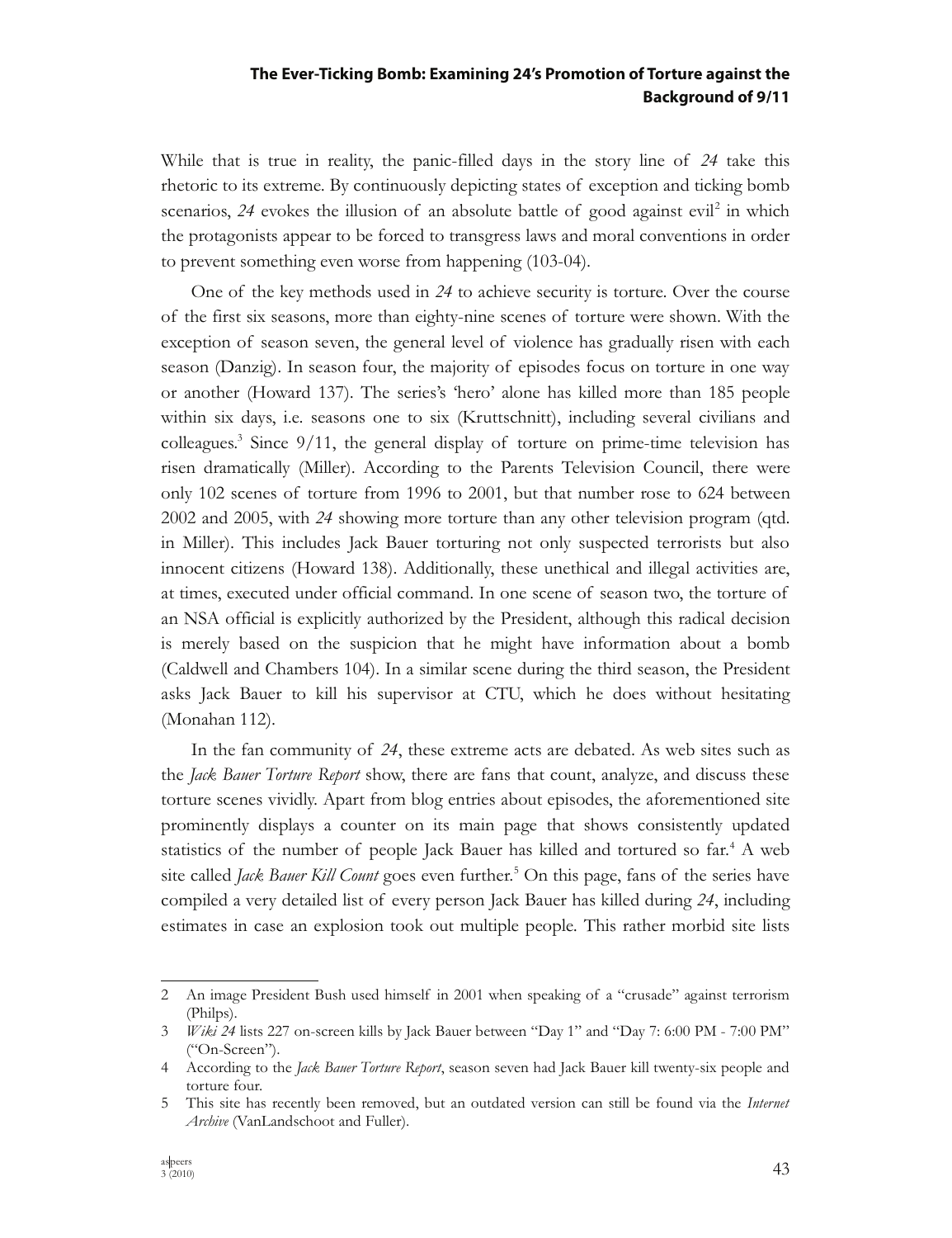While that is true in reality, the panic-filled days in the story line of 24 take this rhetoric to its extreme. By continuously depicting states of exception and ticking bomb scenarios, 24 evokes the illusion of an absolute battle of good against evil<sup>2</sup> in which the protagonists appear to be forced to transgress laws and moral conventions in order to prevent something even worse from happening (103-04).

One of the key methods used in 24 to achieve security is torture. Over the course of the first six seasons, more than eighty-nine scenes of torture were shown. With the exception of season seven, the general level of violence has gradually risen with each season (Danzig). In season four, the majority of episodes focus on torture in one way or another (Howard 137). The series's 'hero' alone has killed more than 185 people within six days, i.e. seasons one to six (Kruttschnitt), including several civilians and colleagues.<sup>3</sup> Since 9/11, the general display of torture on prime-time television has risen dramatically (Miller). According to the Parents Television Council, there were only 102 scenes of torture from 1996 to 2001, but that number rose to 624 between 2002 and 2005, with 24 showing more torture than any other television program (qtd. in Miller). This includes Jack Bauer torturing not only suspected terrorists but also innocent citizens (Howard 138). Additionally, these unethical and illegal activities are, at times, executed under official command. In one scene of season two, the torture of an NSA official is explicitly authorized by the President, although this radical decision is merely based on the suspicion that he might have information about a bomb (Caldwell and Chambers 104). In a similar scene during the third season, the President asks Jack Bauer to kill his supervisor at CTU, which he does without hesitating (Monahan 112).

In the fan community of 24, these extreme acts are debated. As web sites such as the *Jack Bauer Torture Report* show, there are fans that count, analyze, and discuss these torture scenes vividly. Apart from blog entries about episodes, the aforementioned site prominently displays a counter on its main page that shows consistently updated statistics of the number of people Jack Bauer has killed and tortured so far.<sup>4</sup> A web site called *Jack Bauer Kill Count* goes even further.<sup>5</sup> On this page, fans of the series have compiled a very detailed list of every person Jack Bauer has killed during 24, including estimates in case an explosion took out multiple people. This rather morbid site lists

<sup>2</sup> An image President Bush used himself in 2001 when speaking of a "crusade" against terrorism (Philps).

<sup>3</sup> Wiki 24 lists 227 on-screen kills by Jack Bauer between "Day 1" and "Day 7: 6:00 PM - 7:00 PM" ("On-Screen").

<sup>4</sup> According to the Jack Bauer Torture Report, season seven had Jack Bauer kill twenty-six people and torture four.

<sup>5</sup> This site has recently been removed, but an outdated version can still be found via the Internet Archive (VanLandschoot and Fuller).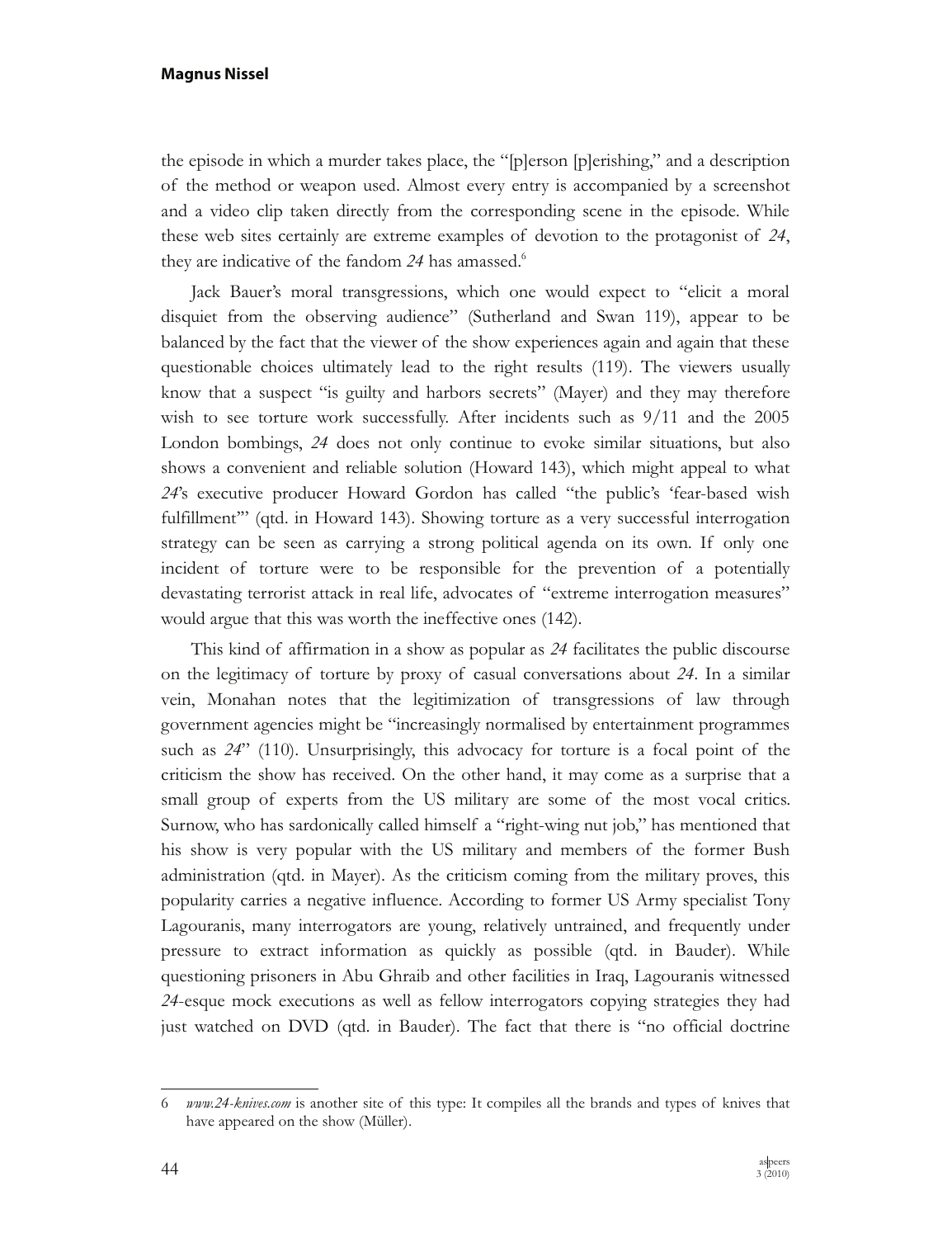the episode in which a murder takes place, the "[p]erson [p]erishing," and a description of the method or weapon used. Almost every entry is accompanied by a screenshot and a video clip taken directly from the corresponding scene in the episode. While these web sites certainly are extreme examples of devotion to the protagonist of 24, they are indicative of the fandom 24 has amassed.<sup>6</sup>

Jack Bauer's moral transgressions, which one would expect to "elicit a moral disquiet from the observing audience" (Sutherland and Swan 119), appear to be balanced by the fact that the viewer of the show experiences again and again that these questionable choices ultimately lead to the right results (119). The viewers usually know that a suspect "is guilty and harbors secrets" (Mayer) and they may therefore wish to see torture work successfully. After incidents such as  $9/11$  and the 2005 London bombings, 24 does not only continue to evoke similar situations, but also shows a convenient and reliable solution (Howard 143), which might appeal to what 24's executive producer Howard Gordon has called "the public's 'fear-based wish fulfillment" (qtd. in Howard 143). Showing torture as a very successful interrogation strategy can be seen as carrying a strong political agenda on its own. If only one incident of torture were to be responsible for the prevention of a potentially devastating terrorist attack in real life, advocates of "extreme interrogation measures" would argue that this was worth the ineffective ones (142).

This kind of affirmation in a show as popular as 24 facilitates the public discourse on the legitimacy of torture by proxy of casual conversations about  $24$ . In a similar vein, Monahan notes that the legitimization of transgressions of law through government agencies might be "increasingly normalised by entertainment programmes" such as  $24$ " (110). Unsurprisingly, this advocacy for torture is a focal point of the criticism the show has received. On the other hand, it may come as a surprise that a small group of experts from the US military are some of the most vocal critics. Surnow, who has sardonically called himself a "right-wing nut job," has mentioned that his show is very popular with the US military and members of the former Bush administration (qtd. in Mayer). As the criticism coming from the military proves, this popularity carries a negative influence. According to former US Army specialist Tony Lagouranis, many interrogators are young, relatively untrained, and frequently under pressure to extract information as quickly as possible (qtd. in Bauder). While questioning prisoners in Abu Ghraib and other facilities in Iraq, Lagouranis witnessed 24-esque mock executions as well as fellow interrogators copying strategies they had just watched on DVD (qtd. in Bauder). The fact that there is "no official doctrine

www.24-knives.com is another site of this type: It compiles all the brands and types of knives that 6 have appeared on the show (Müller).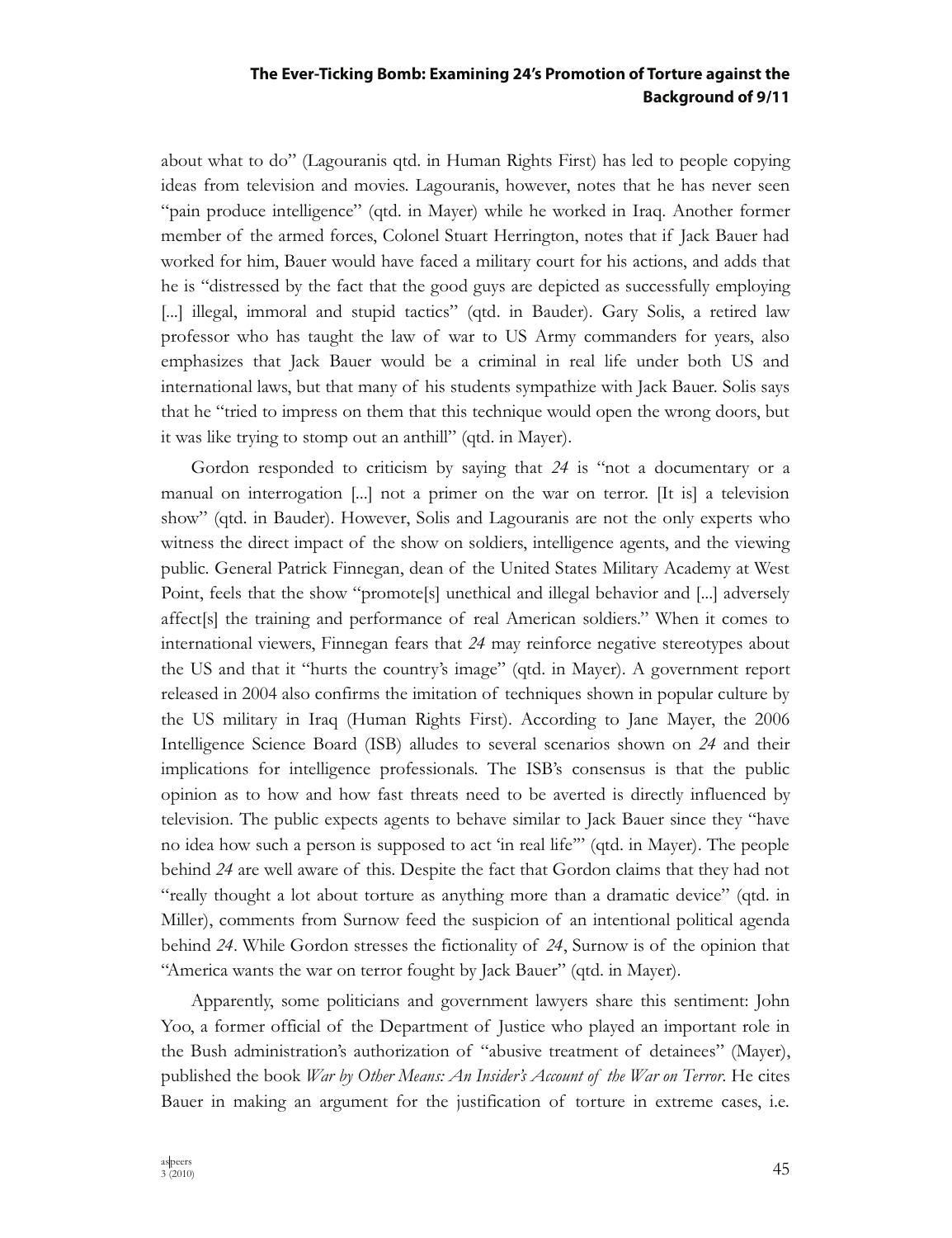about what to do" (Lagouranis qtd. in Human Rights First) has led to people copying ideas from television and movies. Lagouranis, however, notes that he has never seen "pain produce intelligence" (qtd. in Mayer) while he worked in Iraq. Another former member of the armed forces, Colonel Stuart Herrington, notes that if Jack Bauer had worked for him, Bauer would have faced a military court for his actions, and adds that he is "distressed by the fact that the good guys are depicted as successfully employing [...] illegal, immoral and stupid tactics" (qtd. in Bauder). Gary Solis, a retired law professor who has taught the law of war to US Army commanders for years, also emphasizes that Jack Bauer would be a criminal in real life under both US and international laws, but that many of his students sympathize with Jack Bauer. Solis says that he "tried to impress on them that this technique would open the wrong doors, but it was like trying to stomp out an anthill" (qtd. in Mayer).

Gordon responded to criticism by saying that 24 is "not a documentary or a manual on interrogation [...] not a primer on the war on terror. [It is] a television show" (qtd. in Bauder). However, Solis and Lagouranis are not the only experts who witness the direct impact of the show on soldiers, intelligence agents, and the viewing public. General Patrick Finnegan, dean of the United States Military Academy at West Point, feels that the show "promote[s] unethical and illegal behavior and [...] adversely affect[s] the training and performance of real American soldiers." When it comes to international viewers, Finnegan fears that 24 may reinforce negative stereotypes about the US and that it "hurts the country's image" (qtd. in Mayer). A government report released in 2004 also confirms the imitation of techniques shown in popular culture by the US military in Iraq (Human Rights First). According to Jane Mayer, the 2006 Intelligence Science Board (ISB) alludes to several scenarios shown on 24 and their implications for intelligence professionals. The ISB's consensus is that the public opinion as to how and how fast threats need to be averted is directly influenced by television. The public expects agents to behave similar to Jack Bauer since they "have no idea how such a person is supposed to act 'in real life'" (qtd. in Mayer). The people behind 24 are well aware of this. Despite the fact that Gordon claims that they had not "really thought a lot about torture as anything more than a dramatic device" (qtd. in Miller), comments from Surnow feed the suspicion of an intentional political agenda behind 24. While Gordon stresses the fictionality of 24, Surnow is of the opinion that "America wants the war on terror fought by Jack Bauer" (qtd. in Mayer).

Apparently, some politicians and government lawyers share this sentiment: John Yoo, a former official of the Department of Justice who played an important role in the Bush administration's authorization of "abusive treatment of detainees" (Mayer), published the book War by Other Means: An Insider's Account of the War on Terror. He cites Bauer in making an argument for the justification of torture in extreme cases, i.e.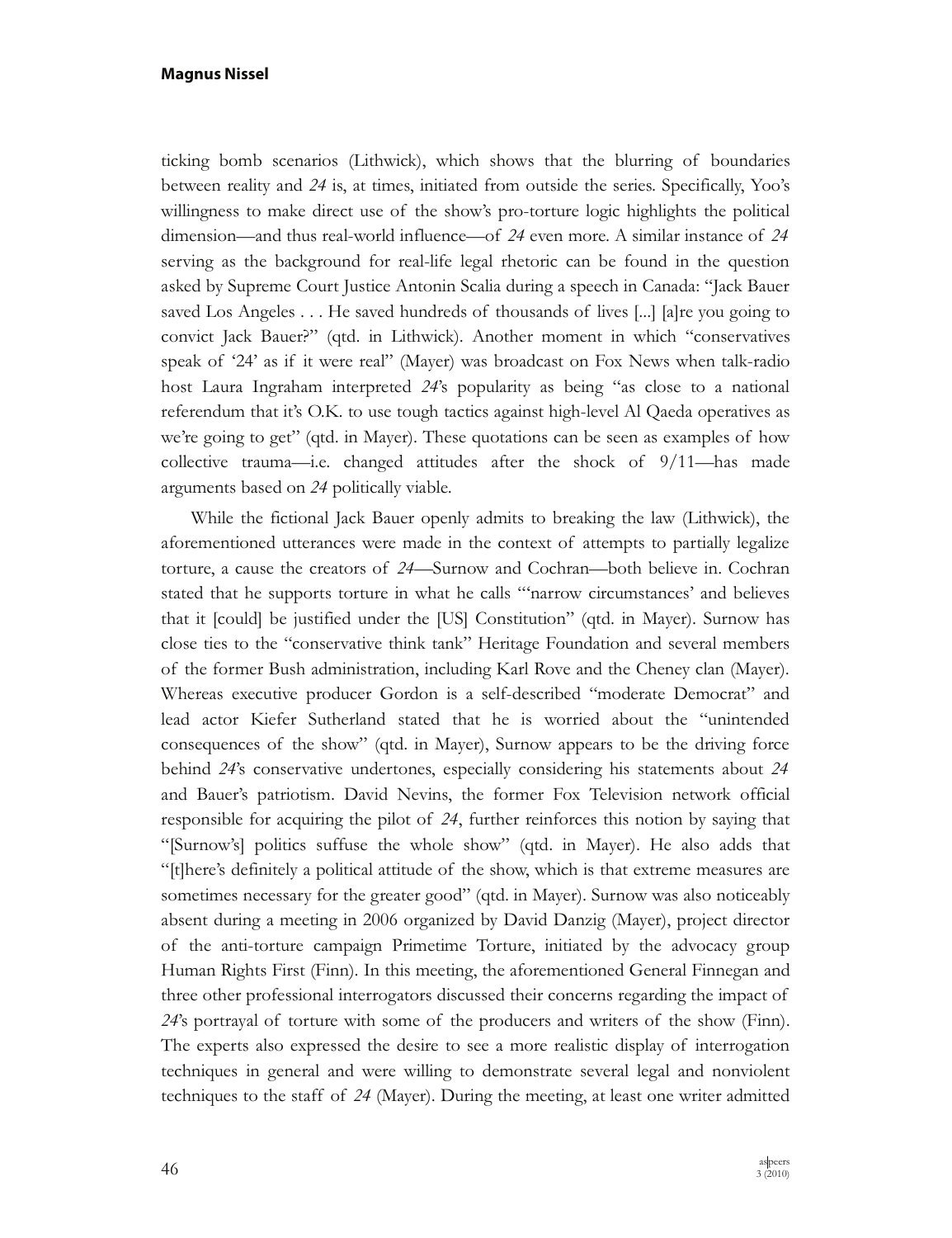ticking bomb scenarios (Lithwick), which shows that the blurring of boundaries between reality and 24 is, at times, initiated from outside the series. Specifically, Yoo's willingness to make direct use of the show's pro-torture logic highlights the political dimension—and thus real-world influence—of 24 even more. A similar instance of 24 serving as the background for real-life legal rhetoric can be found in the question asked by Supreme Court Justice Antonin Scalia during a speech in Canada: "Jack Bauer saved Los Angeles . . . He saved hundreds of thousands of lives [...] [a]re you going to convict Jack Bauer?" (qtd. in Lithwick). Another moment in which "conservatives" speak of '24' as if it were real" (Mayer) was broadcast on Fox News when talk-radio host Laura Ingraham interpreted 24's popularity as being "as close to a national referendum that it's O.K. to use tough tactics against high-level Al Qaeda operatives as we're going to get" (qtd. in Mayer). These quotations can be seen as examples of how collective trauma-i.e. changed attitudes after the shock of 9/11-has made arguments based on 24 politically viable.

While the fictional Jack Bauer openly admits to breaking the law (Lithwick), the aforementioned utterances were made in the context of attempts to partially legalize torture, a cause the creators of 24—Surnow and Cochran—both believe in. Cochran stated that he supports torture in what he calls ""narrow circumstances' and believes that it [could] be justified under the [US] Constitution" (qtd. in Mayer). Surnow has close ties to the "conservative think tank" Heritage Foundation and several members of the former Bush administration, including Karl Rove and the Cheney clan (Mayer). Whereas executive producer Gordon is a self-described "moderate Democrat" and lead actor Kiefer Sutherland stated that he is worried about the "unintended consequences of the show" (qtd. in Mayer), Surnow appears to be the driving force behind 24's conservative undertones, especially considering his statements about 24 and Bauer's patriotism. David Nevins, the former Fox Television network official responsible for acquiring the pilot of 24, further reinforces this notion by saying that "[Surnow's] politics suffuse the whole show" (qtd. in Mayer). He also adds that "[t]here's definitely a political attitude of the show, which is that extreme measures are sometimes necessary for the greater good" (qtd. in Mayer). Surnow was also noticeably absent during a meeting in 2006 organized by David Danzig (Mayer), project director of the anti-torture campaign Primetime Torture, initiated by the advocacy group Human Rights First (Finn). In this meeting, the aforementioned General Finnegan and three other professional interrogators discussed their concerns regarding the impact of 24's portrayal of torture with some of the producers and writers of the show (Finn). The experts also expressed the desire to see a more realistic display of interrogation techniques in general and were willing to demonstrate several legal and nonviolent techniques to the staff of 24 (Mayer). During the meeting, at least one writer admitted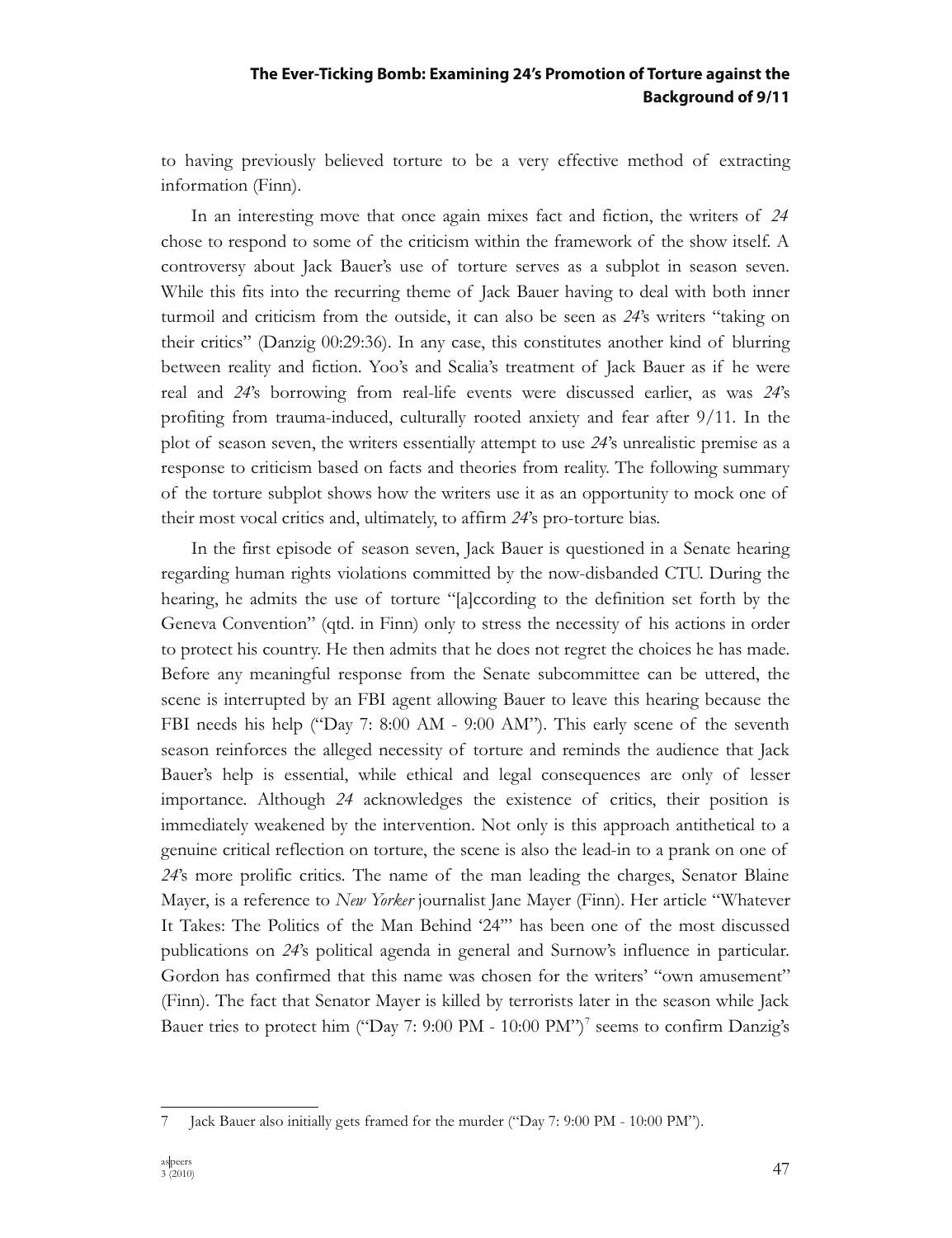to having previously believed torture to be a very effective method of extracting information (Finn).

In an interesting move that once again mixes fact and fiction, the writers of 24 chose to respond to some of the criticism within the framework of the show itself. A controversy about Jack Bauer's use of torture serves as a subplot in season seven. While this fits into the recurring theme of Jack Bauer having to deal with both inner turmoil and criticism from the outside, it can also be seen as  $24$ 's writers "taking on their critics" (Danzig 00:29:36). In any case, this constitutes another kind of blurring between reality and fiction. Yoo's and Scalia's treatment of Jack Bauer as if he were real and 24's borrowing from real-life events were discussed earlier, as was 24's profiting from trauma-induced, culturally rooted anxiety and fear after 9/11. In the plot of season seven, the writers essentially attempt to use  $24$ 's unrealistic premise as a response to criticism based on facts and theories from reality. The following summary of the torture subplot shows how the writers use it as an opportunity to mock one of their most vocal critics and, ultimately, to affirm 24's pro-torture bias.

In the first episode of season seven, Jack Bauer is questioned in a Senate hearing regarding human rights violations committed by the now-disbanded CTU. During the hearing, he admits the use of torture "[a]ccording to the definition set forth by the Geneva Convention" (qtd. in Finn) only to stress the necessity of his actions in order to protect his country. He then admits that he does not regret the choices he has made. Before any meaningful response from the Senate subcommittee can be uttered, the scene is interrupted by an FBI agent allowing Bauer to leave this hearing because the FBI needs his help ("Day 7: 8:00 AM - 9:00 AM"). This early scene of the seventh season reinforces the alleged necessity of torture and reminds the audience that Jack Bauer's help is essential, while ethical and legal consequences are only of lesser importance. Although 24 acknowledges the existence of critics, their position is immediately weakened by the intervention. Not only is this approach antithetical to a genuine critical reflection on torture, the scene is also the lead-in to a prank on one of  $24$ 's more prolific critics. The name of the man leading the charges, Senator Blaine Mayer, is a reference to New Yorker journalist Jane Mayer (Finn). Her article "Whatever It Takes: The Politics of the Man Behind '24" has been one of the most discussed publications on 24's political agenda in general and Surnow's influence in particular. Gordon has confirmed that this name was chosen for the writers' "own amusement" (Finn). The fact that Senator Mayer is killed by terrorists later in the season while Jack Bauer tries to protect him ("Day 7: 9:00 PM - 10:00 PM")<sup>7</sup> seems to confirm Danzig's

Jack Bauer also initially gets framed for the murder ("Day 7: 9:00 PM - 10:00 PM").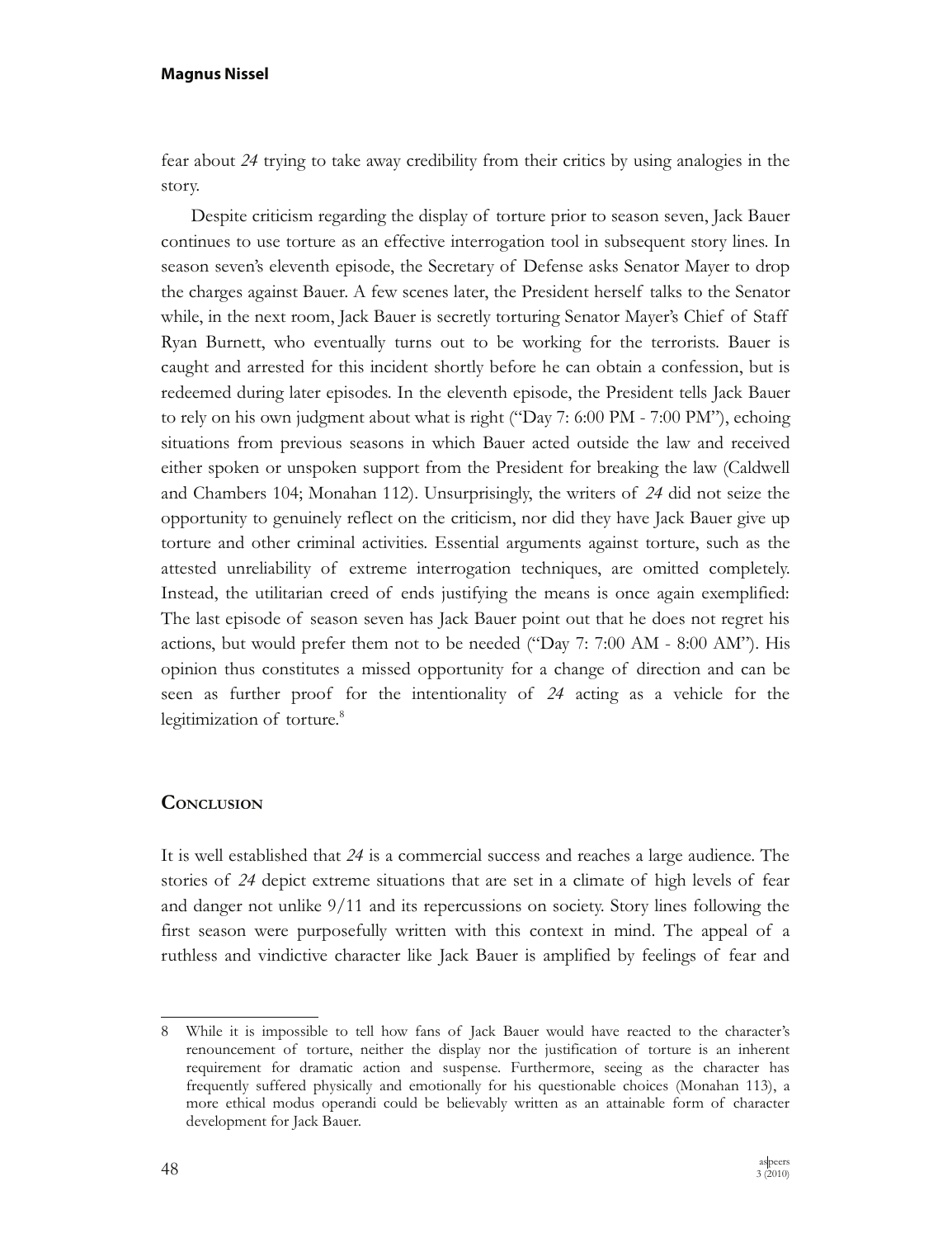fear about 24 trying to take away credibility from their critics by using analogies in the story.

Despite criticism regarding the display of torture prior to season seven, Jack Bauer continues to use torture as an effective interrogation tool in subsequent story lines. In season seven's eleventh episode, the Secretary of Defense asks Senator Mayer to drop the charges against Bauer. A few scenes later, the President herself talks to the Senator while, in the next room, Jack Bauer is secretly torturing Senator Mayer's Chief of Staff Ryan Burnett, who eventually turns out to be working for the terrorists. Bauer is caught and arrested for this incident shortly before he can obtain a confession, but is redeemed during later episodes. In the eleventh episode, the President tells Jack Bauer to rely on his own judgment about what is right ("Day 7: 6:00 PM - 7:00 PM"), echoing situations from previous seasons in which Bauer acted outside the law and received either spoken or unspoken support from the President for breaking the law (Caldwell and Chambers 104; Monahan 112). Unsurprisingly, the writers of 24 did not seize the opportunity to genuinely reflect on the criticism, nor did they have Jack Bauer give up torture and other criminal activities. Essential arguments against torture, such as the attested unreliability of extreme interrogation techniques, are omitted completely. Instead, the utilitarian creed of ends justifying the means is once again exemplified: The last episode of season seven has Jack Bauer point out that he does not regret his actions, but would prefer them not to be needed ("Day 7: 7:00 AM - 8:00 AM"). His opinion thus constitutes a missed opportunity for a change of direction and can be seen as further proof for the intentionality of 24 acting as a vehicle for the legitimization of torture.<sup>8</sup>

# **CONCLUSION**

It is well established that 24 is a commercial success and reaches a large audience. The stories of 24 depict extreme situations that are set in a climate of high levels of fear and danger not unlike 9/11 and its repercussions on society. Story lines following the first season were purposefully written with this context in mind. The appeal of a ruthless and vindictive character like Jack Bauer is amplified by feelings of fear and

<sup>8</sup> While it is impossible to tell how fans of Jack Bauer would have reacted to the character's renouncement of torture, neither the display nor the justification of torture is an inherent requirement for dramatic action and suspense. Furthermore, seeing as the character has frequently suffered physically and emotionally for his questionable choices (Monahan 113), a more ethical modus operandi could be believably written as an attainable form of character development for Jack Bauer.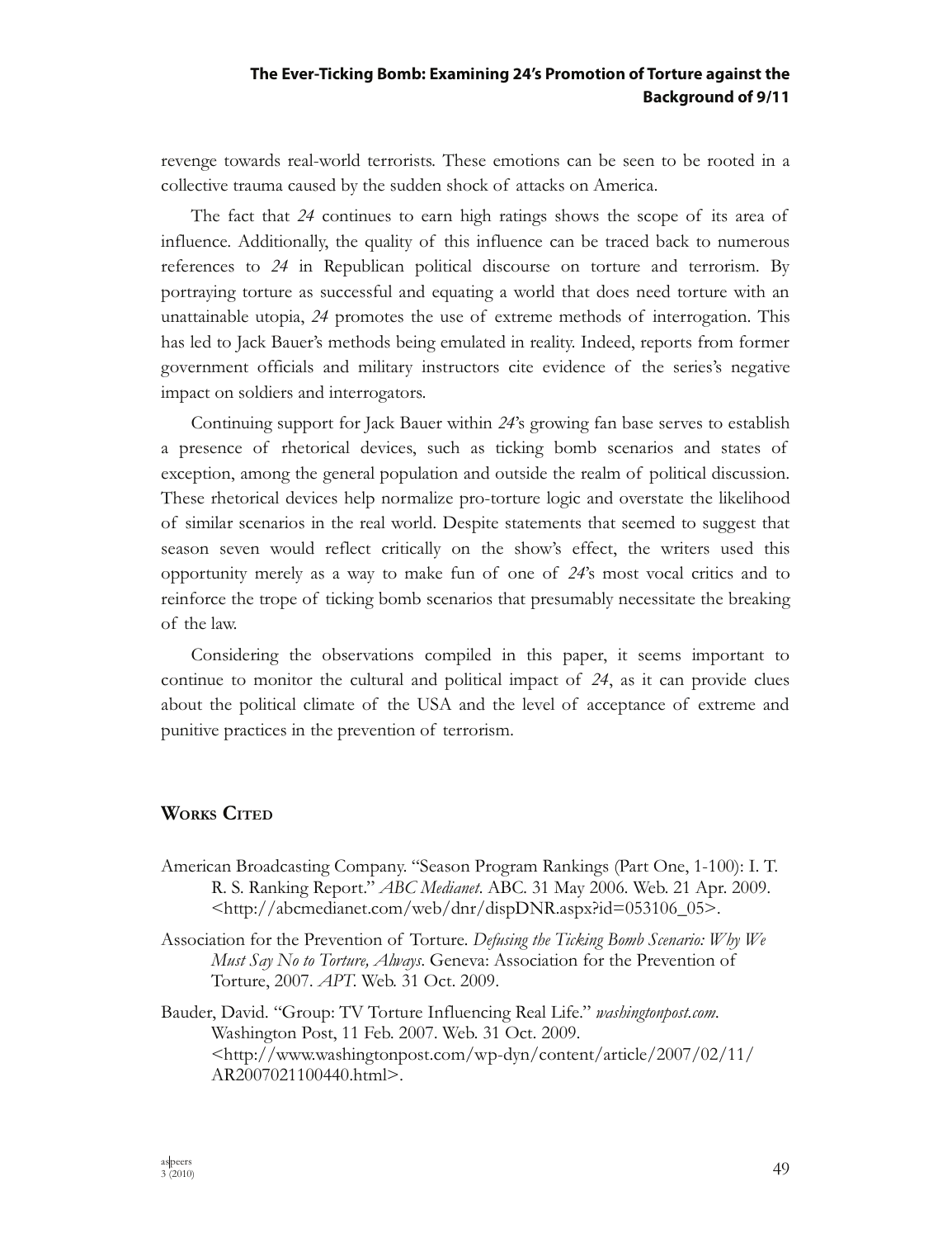revenge towards real-world terrorists. These emotions can be seen to be rooted in a collective trauma caused by the sudden shock of attacks on America.

The fact that 24 continues to earn high ratings shows the scope of its area of influence. Additionally, the quality of this influence can be traced back to numerous references to 24 in Republican political discourse on torture and terrorism. By portraying torture as successful and equating a world that does need torture with an unattainable utopia, 24 promotes the use of extreme methods of interrogation. This has led to Jack Bauer's methods being emulated in reality. Indeed, reports from former government officials and military instructors cite evidence of the series's negative impact on soldiers and interrogators.

Continuing support for Jack Bauer within 24's growing fan base serves to establish a presence of rhetorical devices, such as ticking bomb scenarios and states of exception, among the general population and outside the realm of political discussion. These rhetorical devices help normalize pro-torture logic and overstate the likelihood of similar scenarios in the real world. Despite statements that seemed to suggest that season seven would reflect critically on the show's effect, the writers used this opportunity merely as a way to make fun of one of  $24$ 's most vocal critics and to reinforce the trope of ticking bomb scenarios that presumably necessitate the breaking of the law.

Considering the observations compiled in this paper, it seems important to continue to monitor the cultural and political impact of  $24$ , as it can provide clues about the political climate of the USA and the level of acceptance of extreme and punitive practices in the prevention of terrorism.

# **WORKS CITED**

- American Broadcasting Company. "Season Program Rankings (Part One, 1-100): I. T. R. S. Ranking Report." ABC Medianet. ABC. 31 May 2006. Web. 21 Apr. 2009. <http://abcmedianet.com/web/dnr/dispDNR.aspx?id=053106\_05>.
- Association for the Prevention of Torture. Defusing the Ticking Bomb Scenario: Why We Must Say No to Torture, Always. Geneva: Association for the Prevention of Torture, 2007. APT. Web. 31 Oct. 2009.
- Bauder, David. "Group: TV Torture Influencing Real Life." washingtonpost.com. Washington Post, 11 Feb. 2007. Web. 31 Oct. 2009. <http://www.washingtonpost.com/wp-dyn/content/article/2007/02/11/ AR2007021100440.html>.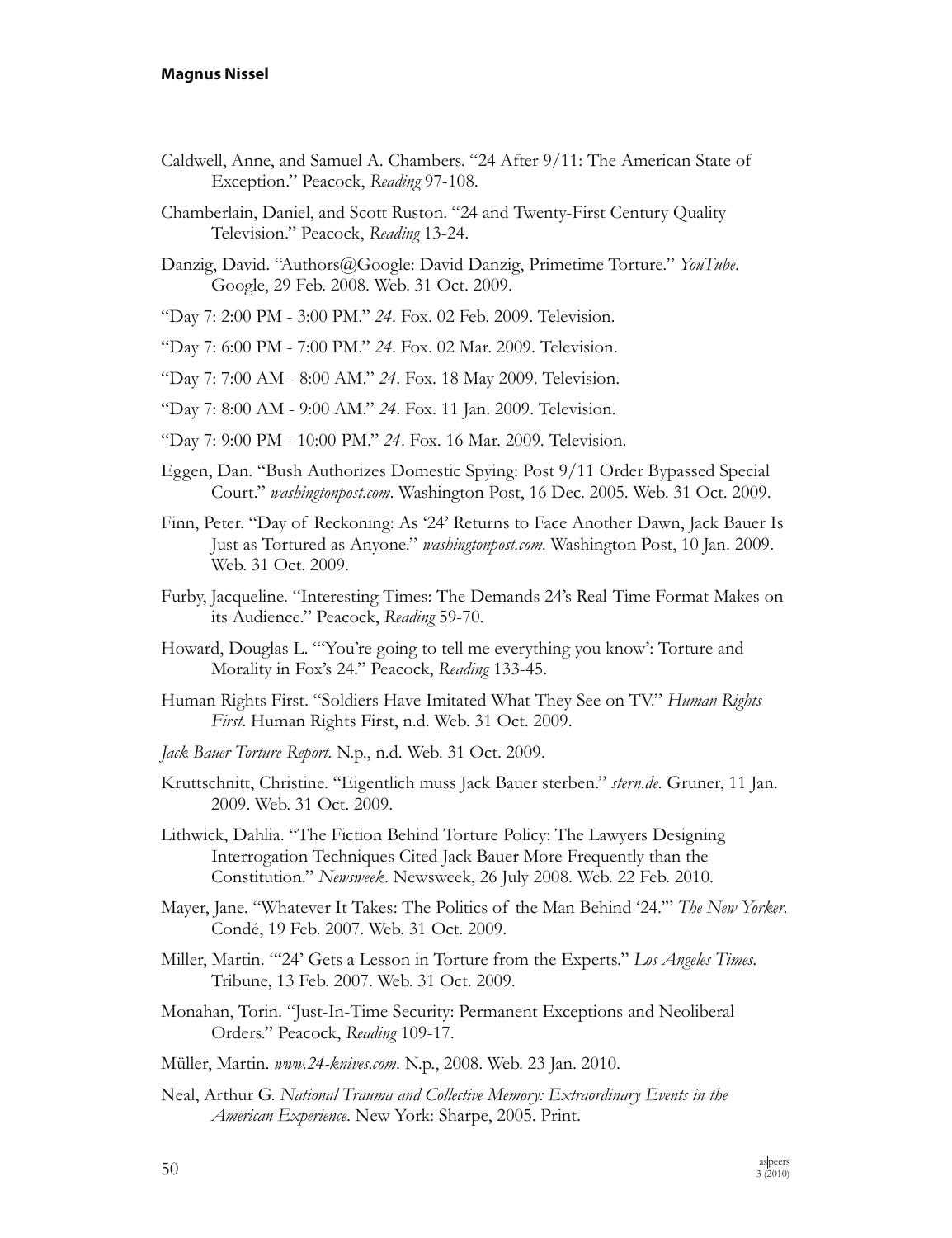- Caldwell, Anne, and Samuel A. Chambers. "24 After 9/11: The American State of Exception." Peacock, Reading 97-108.
- Chamberlain, Daniel, and Scott Ruston. "24 and Twenty-First Century Quality Television." Peacock, Reading 13-24.
- Danzig, David. "Authors@Google: David Danzig, Primetime Torture." YouTube. Google, 29 Feb. 2008. Web. 31 Oct. 2009.
- "Day 7: 2:00 PM 3:00 PM." 24. Fox. 02 Feb. 2009. Television.

"Day 7: 6:00 PM - 7:00 PM." 24. Fox. 02 Mar. 2009. Television.

"Day 7: 7:00 AM - 8:00 AM." 24. Fox. 18 May 2009. Television.

- "Day 7: 8:00 AM 9:00 AM." 24. Fox. 11 Jan. 2009. Television.
- "Day 7: 9:00 PM 10:00 PM." 24. Fox. 16 Mar. 2009. Television.
- Eggen, Dan. "Bush Authorizes Domestic Spying: Post 9/11 Order Bypassed Special Court." washingtonpost.com. Washington Post, 16 Dec. 2005. Web. 31 Oct. 2009.
- Finn, Peter. "Day of Reckoning: As '24' Returns to Face Another Dawn, Jack Bauer Is Just as Tortured as Anyone." washingtonpost.com. Washington Post, 10 Jan. 2009. Web. 31 Oct. 2009.
- Furby, Jacqueline. "Interesting Times: The Demands 24's Real-Time Format Makes on its Audience." Peacock, Reading 59-70.
- Howard, Douglas L. "You're going to tell me everything you know': Torture and Morality in Fox's 24." Peacock, Reading 133-45.
- Human Rights First. "Soldiers Have Imitated What They See on TV." Human Rights First. Human Rights First, n.d. Web. 31 Oct. 2009.
- Jack Bauer Torture Report. N.p., n.d. Web. 31 Oct. 2009.
- Kruttschnitt, Christine. "Eigentlich muss Jack Bauer sterben." stern.de. Gruner, 11 Jan. 2009. Web. 31 Oct. 2009.
- Lithwick, Dahlia. "The Fiction Behind Torture Policy: The Lawyers Designing Interrogation Techniques Cited Jack Bauer More Frequently than the Constitution." Newsweek. Newsweek, 26 July 2008. Web. 22 Feb. 2010.
- Mayer, Jane. "Whatever It Takes: The Politics of the Man Behind '24." The New Yorker. Condé, 19 Feb. 2007. Web. 31 Oct. 2009.
- Miller, Martin. "24' Gets a Lesson in Torture from the Experts." Los Angeles Times. Tribune, 13 Feb. 2007. Web. 31 Oct. 2009.
- Monahan, Torin. "Just-In-Time Security: Permanent Exceptions and Neoliberal Orders." Peacock, Reading 109-17.
- Müller, Martin. www.24-knives.com. N.p., 2008. Web. 23 Jan. 2010.
- Neal, Arthur G. National Trauma and Collective Memory: Extraordinary Events in the American Experience. New York: Sharpe, 2005. Print.